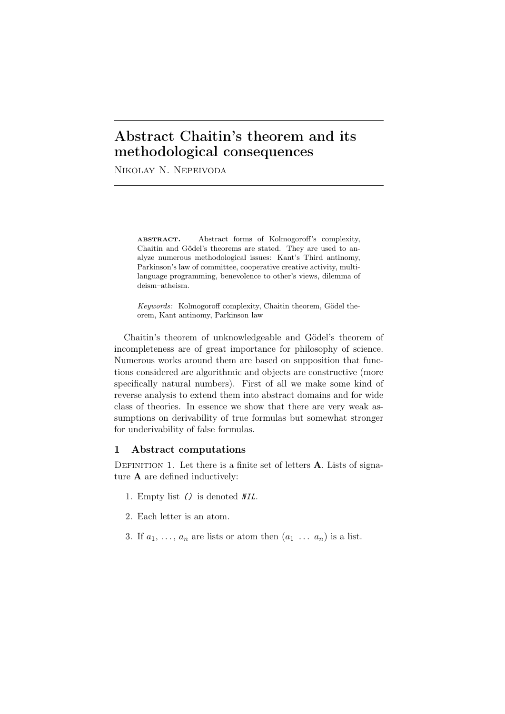# Abstract Chaitin's theorem and its methodological consequences

Nikolay N. Nepeivoda

ABSTRACT. Abstract forms of Kolmogoroff's complexity, Chaitin and Gödel's theorems are stated. They are used to analyze numerous methodological issues: Kant's Third antinomy, Parkinson's law of committee, cooperative creative activity, multilanguage programming, benevolence to other's views, dilemma of deism–atheism.

*Keywords:* Kolmogoroff complexity, Chaitin theorem, Gödel theorem, Kant antinomy, Parkinson law

Chaitin's theorem of unknowledgeable and Gödel's theorem of incompleteness are of great importance for philosophy of science. Numerous works around them are based on supposition that functions considered are algorithmic and objects are constructive (more specifically natural numbers). First of all we make some kind of reverse analysis to extend them into abstract domains and for wide class of theories. In essence we show that there are very weak assumptions on derivability of true formulas but somewhat stronger for underivability of false formulas.

## 1 Abstract computations

DEFINITION 1. Let there is a finite set of letters  $A$ . Lists of signature A are defined inductively:

- 1. Empty list *()* is denoted *NIL*.
- 2. Each letter is an atom.
- 3. If  $a_1, \ldots, a_n$  are lists or atom then  $(a_1 \ldots a_n)$  is a list.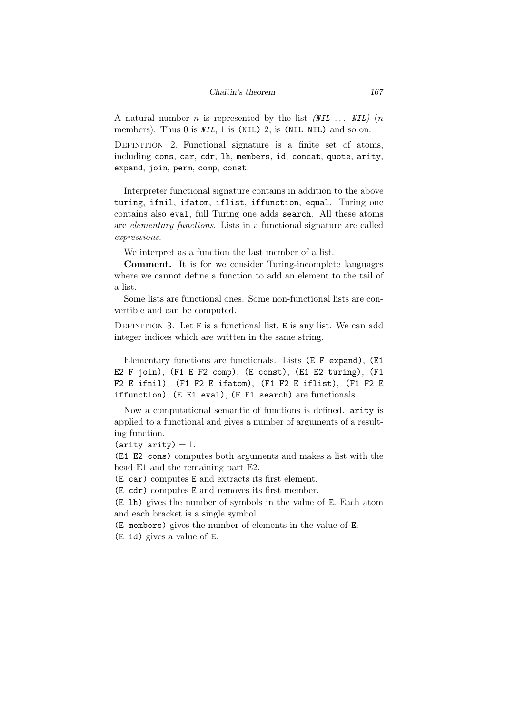A natural number *n* is represented by the list *(NIL . . . NIL)* (*n* members). Thus 0 is *NIL*, 1 is (NIL) 2, is (NIL NIL) and so on.

DEFINITION 2. Functional signature is a finite set of atoms, including cons, car, cdr, lh, members, id, concat, quote, arity, expand, join, perm, comp, const.

Interpreter functional signature contains in addition to the above turing, ifnil, ifatom, iflist, iffunction, equal. Turing one contains also eval, full Turing one adds search. All these atoms are *elementary functions*. Lists in a functional signature are called *expressions*.

We interpret as a function the last member of a list.

Comment. It is for we consider Turing-incomplete languages where we cannot define a function to add an element to the tail of a list.

Some lists are functional ones. Some non-functional lists are convertible and can be computed.

DEFINITION 3. Let F is a functional list, E is any list. We can add integer indices which are written in the same string.

Elementary functions are functionals. Lists (E F expand), (E1 E2 F join), (F1 E F2 comp), (E const), (E1 E2 turing), (F1 F2 E ifnil), (F1 F2 E ifatom), (F1 F2 E iflist), (F1 F2 E iffunction), (E E1 eval), (F F1 search) are functionals.

Now a computational semantic of functions is defined. arity is applied to a functional and gives a number of arguments of a resulting function.

```
(arity arity) = 1.
```
(E1 E2 cons) computes both arguments and makes a list with the head E1 and the remaining part E2.

(E car) computes E and extracts its first element.

(E cdr) computes E and removes its first member.

(E lh) gives the number of symbols in the value of E. Each atom and each bracket is a single symbol.

(E members) gives the number of elements in the value of E.

(E id) gives a value of E.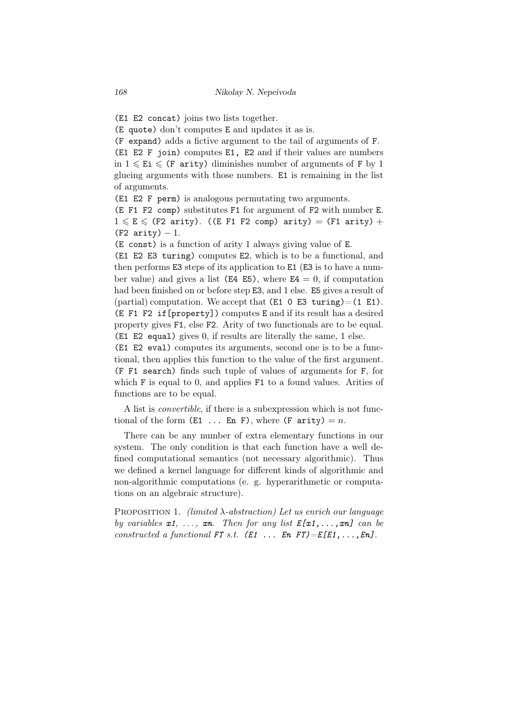(E1 E2 concat) joins two lists together.

(E quote) don't computes E and updates it as is.

(F expand) adds a fictive argument to the tail of arguments of F. (E1 E2 F join) computes E1, E2 and if their values are numbers in  $1 \leqslant E$ i  $\leqslant$  (F arity) diminishes number of arguments of F by 1 glueing arguments with those numbers. E1 is remaining in the list

of arguments.

(E1 E2 F perm) is analogous permutating two arguments.

(E F1 F2 comp) substitutes F1 for argument of F2 with number E.  $1 \le E \le$  (F2 arity). ((E F1 F2 comp) arity) = (F1 arity) + (F2 arity) *−* 1.

(E const) is a function of arity 1 always giving value of E.

(E1 E2 E3 turing) computes E2, which is to be a functional, and then performs E3 steps of its application to E1 (E3 is to have a number value) and gives a list ( $E4 E5$ ), where  $E4 = 0$ , if computation had been finished on or before step E3, and 1 else. E5 gives a result of (partial) computation. We accept that  $(E1 \t 0 \t E3 \t turning)=(1 \t E1)$ . (E F1 F2 if[property]) computes E and if its result has a desired property gives F1, else F2. Arity of two functionals are to be equal. (E1 E2 equal) gives 0, if results are literally the same, 1 else.

(E1 E2 eval) computes its arguments, second one is to be a functional, then applies this function to the value of the first argument. (F F1 search) finds such tuple of values of arguments for F, for which F is equal to 0, and applies F1 to a found values. Arities of functions are to be equal.

A list is *convertible*, if there is a subexpression which is not functional of the form  $(E1 \ldots En F)$ , where  $(F \text{arity}) = n$ .

There can be any number of extra elementary functions in our system. The only condition is that each function have a well defined computational semantics (not necessary algorithmic). Thus we defined a kernel language for different kinds of algorithmic and non-algorithmic computations (e. g. hyperarithmetic or computations on an algebraic structure).

Proposition 1. *(limited λ-abstraction) Let us enrich our language by variables*  $x1, \ldots, xn$ . Then for any list  $E[x1, \ldots, xn]$  can be *constructed a functional*  $FT s.t.$   $(E1 ... En FT) = E[E1, ..., En]$ *.*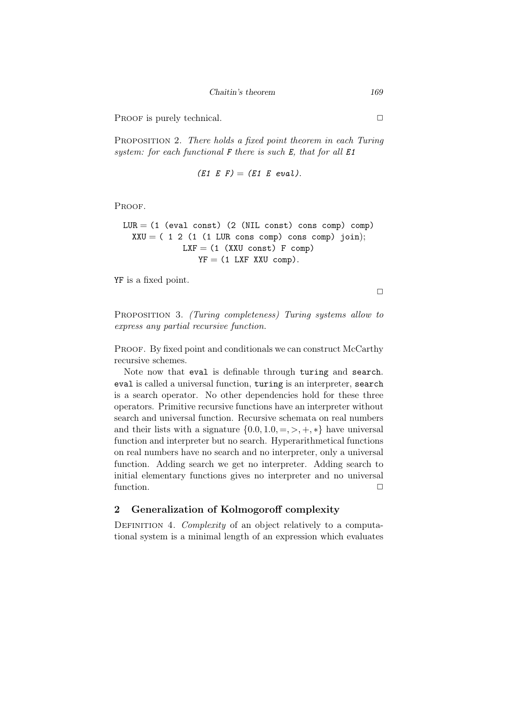*Chaitin's theorem 169*

PROOF is purely technical.  $\Box$ 

Proposition 2. *There holds a fixed point theorem in each Turing system: for each functional F there is such E, that for all E1*

$$
(E1 \tE F) = (E1 \tE eval).
$$

Proof.

LUR = (1 (eval const) (2 (NIL const) cons comp) comp) XXU = ( 1 2 (1 (1 LUR cons comp) cons comp) join); LXF = (1 (XXU const) F comp) YF = (1 LXF XXU comp)*.*

YF is a fixed point.

 $\Box$ 

Proposition 3. *(Turing completeness) Turing systems allow to express any partial recursive function.*

PROOF. By fixed point and conditionals we can construct McCarthy recursive schemes.

Note now that eval is definable through turing and search. eval is called a universal function, turing is an interpreter, search is a search operator. No other dependencies hold for these three operators. Primitive recursive functions have an interpreter without search and universal function. Recursive schemata on real numbers and their lists with a signature  $\{0.0, 1.0, =, >, +, *\}$  have universal function and interpreter but no search. Hyperarithmetical functions on real numbers have no search and no interpreter, only a universal function. Adding search we get no interpreter. Adding search to initial elementary functions gives no interpreter and no universal function.  $\Box$ 

# 2 Generalization of Kolmogoroff complexity

DEFINITION 4. *Complexity* of an object relatively to a computational system is a minimal length of an expression which evaluates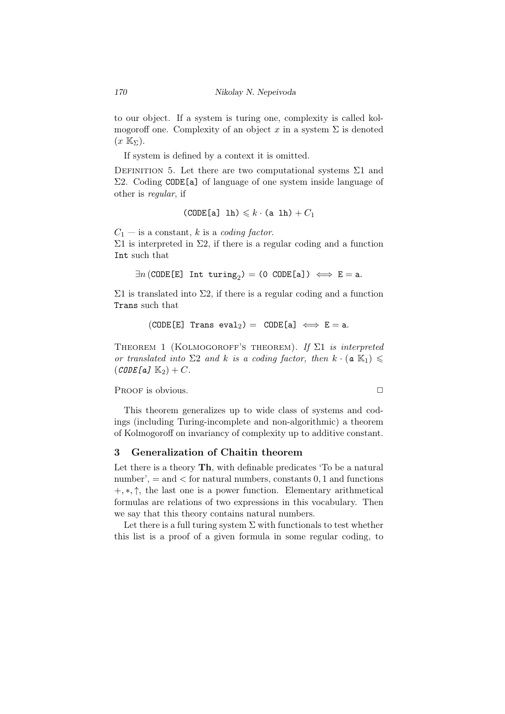to our object. If a system is turing one, complexity is called kolmogoroff one. Complexity of an object  $x$  in a system  $\Sigma$  is denoted  $(x \mathbb{K}_{\Sigma}).$ 

If system is defined by a context it is omitted.

DEFINITION 5. Let there are two computational systems  $\Sigma1$  and Σ2. Coding CODE[a] of language of one system inside language of other is *regular*, if

(CODE[a] 1h) 
$$
\leq k \cdot
$$
 (a 1h) +  $C_1$ 

 $C_1$  — is a constant, *k* is a *coding factor*.

 $Σ1$  is interpreted in  $Σ2$ , if there is a regular coding and a function Int such that

 $\exists n \, (\mathtt{CODE}[{\tt E}]$  Int turing<sub>2</sub> $) = (0 \, \mathtt{CODE}[{\tt a}] \, \rangle \iff {\tt E} = {\tt a}.$ 

 $\Sigma1$  is translated into  $\Sigma2$ , if there is a regular coding and a function Trans such that

$$
(\mathtt{CODE}[E] \ \ \mathtt{Trans} \ \mathtt{eval}_2) = \ \mathtt{CODE}[a] \iff E = a.
$$

Theorem 1 (Kolmogoroff's theorem). *If* Σ1 *is interpreted or translated into*  $\Sigma 2$  *and k is a coding factor, then*  $k \cdot (a \mathbb{K}_1) \leq$  $(CODE[a] K_2) + C$ .

PROOF is obvious. **□** 

This theorem generalizes up to wide class of systems and codings (including Turing-incomplete and non-algorithmic) a theorem of Kolmogoroff on invariancy of complexity up to additive constant.

# 3 Generalization of Chaitin theorem

Let there is a theory **Th**, with definable predicates 'To be a natural number', = and *<* for natural numbers, constants 0*,* 1 and functions +*, ∗, ↑*, the last one is a power function. Elementary arithmetical formulas are relations of two expressions in this vocabulary. Then we say that this theory contains natural numbers.

Let there is a full turing system  $\Sigma$  with functionals to test whether this list is a proof of a given formula in some regular coding, to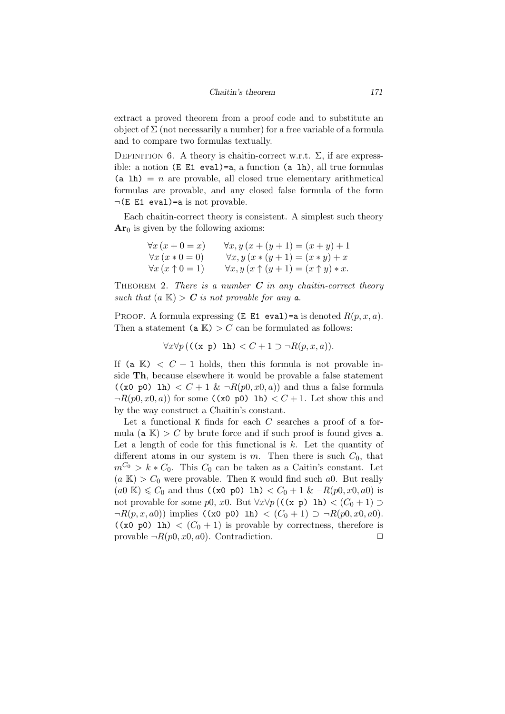extract a proved theorem from a proof code and to substitute an object of  $\Sigma$  (not necessarily a number) for a free variable of a formula and to compare two formulas textually.

DEFINITION 6. A theory is chaitin-correct w.r.t.  $\Sigma$ , if are expressible: a notion (E E1 eval)=a, a function (a lh), all true formulas  $(a 1h) = n$  are provable, all closed true elementary arithmetical formulas are provable, and any closed false formula of the form *¬*(E E1 eval)=a is not provable.

Each chaitin-correct theory is consistent. A simplest such theory  $Ar<sub>0</sub>$  is given by the following axioms:

$$
\forall x (x + 0 = x) \quad \forall x, y (x + (y + 1) = (x + y) + 1
$$
  

$$
\forall x (x * 0 = 0) \quad \forall x, y (x * (y + 1) = (x * y) + x
$$
  

$$
\forall x (x \uparrow 0 = 1) \quad \forall x, y (x \uparrow (y + 1) = (x \uparrow y) * x.
$$

Theorem 2. *There is a number C in any chaitin-correct theory such that*  $(a K) > C$  *is not provable for any*  $a$ *.* 

PROOF. A formula expressing  $(E E1 eval) = a$  is denoted  $R(p, x, a)$ . Then a statement  $(a K) > C$  can be formulated as follows:

$$
\forall x \forall p ((\text{(x p)} \text{ lh}) < C + 1 \supset \neg R(p, x, a)).
$$

If (a  $\mathbb{K}$ )  $\lt C + 1$  holds, then this formula is not provable inside Th, because elsewhere it would be provable a false statement  $((x0 p0) 1h) < C + 1 & \& \neg R(p0, x0, a))$  and thus a false formula  $\neg R(p0, x0, a)$  for some  $(\times 0 \text{ pol})$  lh)  $\lt C + 1$ . Let show this and by the way construct a Chaitin's constant.

Let a functional K finds for each *C* searches a proof of a formula ( $a K$ ) > C by brute force and if such proof is found gives a. Let a length of code for this functional is *k*. Let the quantity of different atoms in our system is  $m$ . Then there is such  $C_0$ , that  $m^{C_0} > k * C_0$ . This  $C_0$  can be taken as a Caitin's constant. Let  $(a K) > C_0$  were provable. Then K would find such a<sub>0</sub>. But really  $(a_0 \mathbb{K}) \leq C_0$  and thus  $((x_0 \text{ p0}) \text{ lh}) \leq C_0 + 1 \& \neg R(p_0, x_0, a_0)$  is not provable for some *p*0, *x*0. But  $\forall x \forall p ((\mathbf{x}, \mathbf{p}) \in \mathbb{R}) < (C_0 + 1) \supset$  $\neg R(p, x, a0)$  implies ((x0 p0) 1h) < (C<sub>0</sub> + 1) ⊃  $\neg R(p0, x0, a0)$ .  $((x0 p0) 1h) < (C<sub>0</sub> + 1)$  is provable by correctness, therefore is provable  $\neg R(p0, x0, a0)$ . Contradiction.  $\Box$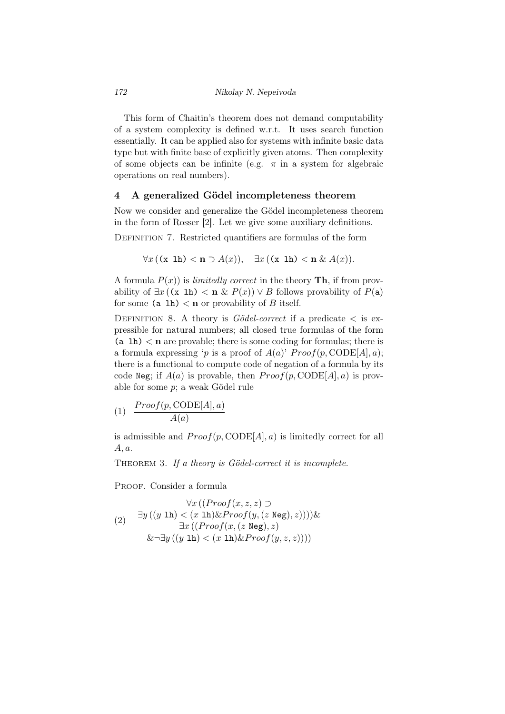This form of Chaitin's theorem does not demand computability of a system complexity is defined w.r.t. It uses search function essentially. It can be applied also for systems with infinite basic data type but with finite base of explicitly given atoms. Then complexity of some objects can be infinite (e.g.  $\pi$  in a system for algebraic operations on real numbers).

### 4 A generalized Gödel incompleteness theorem

Now we consider and generalize the Gödel incompleteness theorem in the form of Rosser [2]. Let we give some auxiliary definitions.

Definition 7. Restricted quantifiers are formulas of the form

$$
\forall x ((x \text{ lh}) < n \supset A(x)), \quad \exists x ((x \text{ lh}) < n \ \& A(x)).
$$

A formula  $P(x)$  is *limitedly correct* in the theory **Th**, if from provability of  $\exists x$  ((x 1h) < **n** &  $P(x)$ )  $\vee$  *B* follows provability of  $P(a)$ for some (a 1h)  $\lt$ **n** or provability of *B* itself.

DEFINITION 8. A theory is *Gödel-correct* if a predicate  $\lt$  is expressible for natural numbers; all closed true formulas of the form  $(a 1h) < n$  are provable; there is some coding for formulas; there is a formula expressing '*p* is a proof of  $A(a)$ '  $Proof(p, CODE[A], a)$ ; there is a functional to compute code of negation of a formula by its code Neg; if  $A(a)$  is provable, then  $Proof(p, \text{CODE}[A], a)$  is provable for some  $p$ ; a weak Gödel rule

$$
(1) \quad \frac{Proof(p, \text{CODE}[A], a)}{A(a)}
$$

is admissible and  $Proof(p, \text{CODE}[A], a)$  is limitedly correct for all *A, a*.

THEOREM 3. If a theory is Gödel-correct it is incomplete.

PROOF. Consider a formula

$$
\forall x ((Proof(x, z, z) \supseteqbr>(2) \quad \exists y ((y \text{ lh}) < (x \text{ lh}) \& Proof(y, (z \text{ Neg}), z)))) \& \\ \exists x ((Proof(x, (z \text{ Neg}), z) \& \\ \exists y ((y \text{ lh}) < (x \text{ lh}) \& Proof(y, z, z))))
$$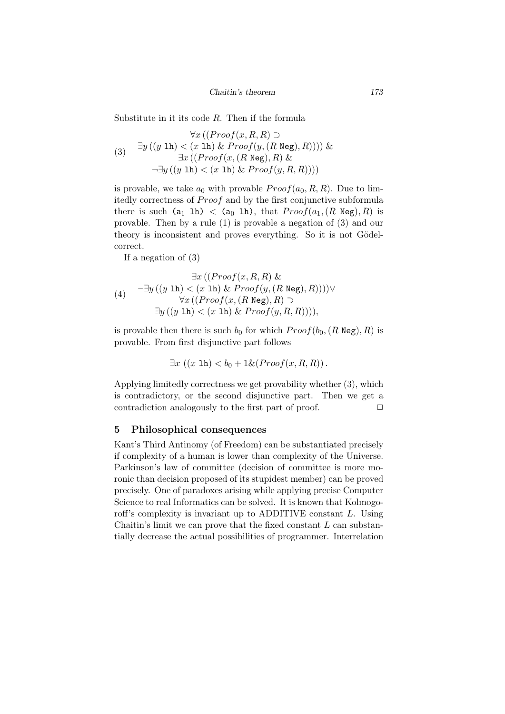*Chaitin's theorem 173*

Substitute in it its code *R*. Then if the formula

$$
\forall x ((Proof(x, R, R) \supset
$$
  
(3) 
$$
\exists y ((y \text{ lh}) < (x \text{ lh}) \& \text{Proof}(y, (R \text{ Neg}), R)))) \& \exists x ((Proof(x, (R \text{ Neg}), R) \& \neg \exists y ((y \text{ lh}) < (x \text{ lh}) \& \text{Proof}(y, R, R))))
$$

is provable, we take  $a_0$  with provable  $Proof(a_0, R, R)$ . Due to limitedly correctness of *Proof* and by the first conjunctive subformula there is such  $(a_1 \text{ lh}) < (a_0 \text{ lh})$ , that  $Proof(a_1, (R \text{ Neg}), R)$  is provable. Then by a rule (1) is provable a negation of (3) and our theory is inconsistent and proves everything. So it is not Gödelcorrect.

If a negation of (3)

$$
\exists x ((Proof(x, R, R) \&
$$
  
(4) 
$$
\neg \exists y ((y \text{ lh}) < (x \text{ lh}) \& \text{Proof}(y, (R \text{ Neg}), R)))) \vee
$$
  

$$
\forall x ((Proof(x, (R \text{ Neg}), R) \supset
$$
  

$$
\exists y ((y \text{ lh}) < (x \text{ lh}) \& \text{Proof}(y, R, R))))
$$

is provable then there is such  $b_0$  for which  $Proof(b_0, (R \text{ Neg}), R)$  is provable. From first disjunctive part follows

$$
\exists x ((x \text{ lh}) < b_0 + 1 \& (Proof(x, R, R)).
$$

Applying limitedly correctness we get provability whether (3), which is contradictory, or the second disjunctive part. Then we get a contradiction analogously to the first part of proof.  $\Box$ 

### 5 Philosophical consequences

Kant's Third Antinomy (of Freedom) can be substantiated precisely if complexity of a human is lower than complexity of the Universe. Parkinson's law of committee (decision of committee is more moronic than decision proposed of its stupidest member) can be proved precisely. One of paradoxes arising while applying precise Computer Science to real Informatics can be solved. It is known that Kolmogoroff's complexity is invariant up to ADDITIVE constant *L*. Using Chaitin's limit we can prove that the fixed constant *L* can substantially decrease the actual possibilities of programmer. Interrelation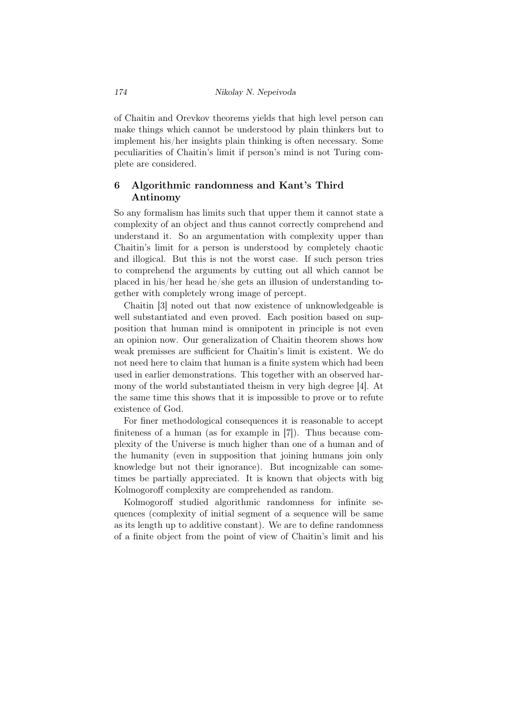of Chaitin and Orevkov theorems yields that high level person can make things which cannot be understood by plain thinkers but to implement his/her insights plain thinking is often necessary. Some peculiarities of Chaitin's limit if person's mind is not Turing complete are considered.

# 6 Algorithmic randomness and Kant's Third Antinomy

So any formalism has limits such that upper them it cannot state a complexity of an object and thus cannot correctly comprehend and understand it. So an argumentation with complexity upper than Chaitin's limit for a person is understood by completely chaotic and illogical. But this is not the worst case. If such person tries to comprehend the arguments by cutting out all which cannot be placed in his/her head he/she gets an illusion of understanding together with completely wrong image of percept.

Chaitin [3] noted out that now existence of unknowledgeable is well substantiated and even proved. Each position based on supposition that human mind is omnipotent in principle is not even an opinion now. Our generalization of Chaitin theorem shows how weak premisses are sufficient for Chaitin's limit is existent. We do not need here to claim that human is a finite system which had been used in earlier demonstrations. This together with an observed harmony of the world substantiated theism in very high degree [4]. At the same time this shows that it is impossible to prove or to refute existence of God.

For finer methodological consequences it is reasonable to accept finiteness of a human (as for example in [7]). Thus because complexity of the Universe is much higher than one of a human and of the humanity (even in supposition that joining humans join only knowledge but not their ignorance). But incognizable can sometimes be partially appreciated. It is known that objects with big Kolmogoroff complexity are comprehended as random.

Kolmogoroff studied algorithmic randomness for infinite sequences (complexity of initial segment of a sequence will be same as its length up to additive constant). We are to define randomness of a finite object from the point of view of Chaitin's limit and his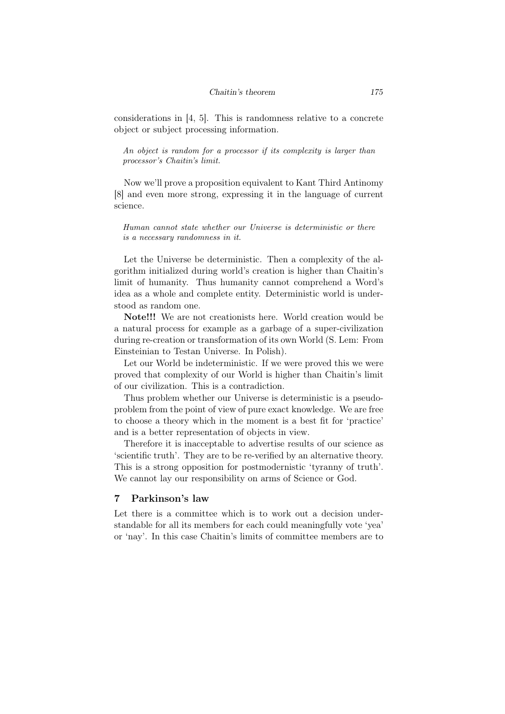considerations in [4, 5]. This is randomness relative to a concrete object or subject processing information.

*An object is random for a processor if its complexity is larger than processor's Chaitin's limit.*

Now we'll prove a proposition equivalent to Kant Third Antinomy [8] and even more strong, expressing it in the language of current science.

*Human cannot state whether our Universe is deterministic or there is a necessary randomness in it.*

Let the Universe be deterministic. Then a complexity of the algorithm initialized during world's creation is higher than Chaitin's limit of humanity. Thus humanity cannot comprehend a Word's idea as a whole and complete entity. Deterministic world is understood as random one.

Note!!! We are not creationists here. World creation would be a natural process for example as a garbage of a super-civilization during re-creation or transformation of its own World (S. Lem: From Einsteinian to Testan Universe. In Polish).

Let our World be indeterministic. If we were proved this we were proved that complexity of our World is higher than Chaitin's limit of our civilization. This is a contradiction.

Thus problem whether our Universe is deterministic is a pseudoproblem from the point of view of pure exact knowledge. We are free to choose a theory which in the moment is a best fit for 'practice' and is a better representation of objects in view.

Therefore it is inacceptable to advertise results of our science as 'scientific truth'. They are to be re-verified by an alternative theory. This is a strong opposition for postmodernistic 'tyranny of truth'. We cannot lay our responsibility on arms of Science or God.

## 7 Parkinson's law

Let there is a committee which is to work out a decision understandable for all its members for each could meaningfully vote 'yea' or 'nay'. In this case Chaitin's limits of committee members are to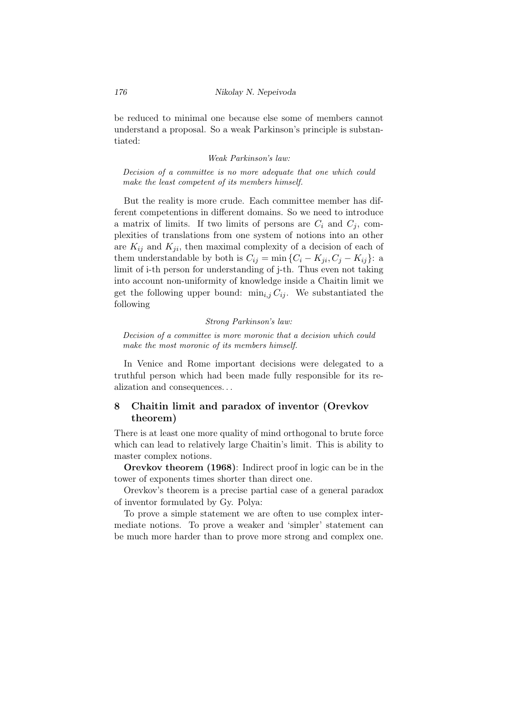be reduced to minimal one because else some of members cannot understand a proposal. So a weak Parkinson's principle is substantiated:

#### *Weak Parkinson's law:*

*Decision of a committee is no more adequate that one which could make the least competent of its members himself.*

But the reality is more crude. Each committee member has different competentions in different domains. So we need to introduce a matrix of limits. If two limits of persons are  $C_i$  and  $C_j$ , complexities of translations from one system of notions into an other are  $K_{ij}$  and  $K_{ji}$ , then maximal complexity of a decision of each of them understandable by both is  $C_{ij} = \min\{C_i - K_{ji}, C_j - K_{ij}\}$ : a limit of i-th person for understanding of j-th. Thus even not taking into account non-uniformity of knowledge inside a Chaitin limit we get the following upper bound:  $\min_{i,j} C_{ij}$ . We substantiated the following

#### *Strong Parkinson's law:*

*Decision of a committee is more moronic that a decision which could make the most moronic of its members himself.*

In Venice and Rome important decisions were delegated to a truthful person which had been made fully responsible for its realization and consequences. . .

# 8 Chaitin limit and paradox of inventor (Orevkov theorem)

There is at least one more quality of mind orthogonal to brute force which can lead to relatively large Chaitin's limit. This is ability to master complex notions.

Orevkov theorem (1968): Indirect proof in logic can be in the tower of exponents times shorter than direct one.

Orevkov's theorem is a precise partial case of a general paradox of inventor formulated by Gy. Polya:

To prove a simple statement we are often to use complex intermediate notions. To prove a weaker and 'simpler' statement can be much more harder than to prove more strong and complex one.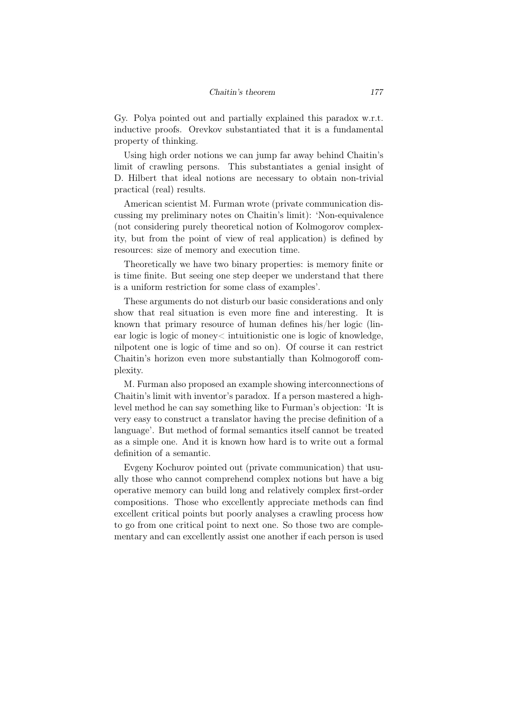Gy. Polya pointed out and partially explained this paradox w.r.t. inductive proofs. Orevkov substantiated that it is a fundamental property of thinking.

Using high order notions we can jump far away behind Chaitin's limit of crawling persons. This substantiates a genial insight of D. Hilbert that ideal notions are necessary to obtain non-trivial practical (real) results.

American scientist M. Furman wrote (private communication discussing my preliminary notes on Chaitin's limit): 'Non-equivalence (not considering purely theoretical notion of Kolmogorov complexity, but from the point of view of real application) is defined by resources: size of memory and execution time.

Theoretically we have two binary properties: is memory finite or is time finite. But seeing one step deeper we understand that there is a uniform restriction for some class of examples'.

These arguments do not disturb our basic considerations and only show that real situation is even more fine and interesting. It is known that primary resource of human defines his/her logic (linear logic is logic of money< intuitionistic one is logic of knowledge, nilpotent one is logic of time and so on). Of course it can restrict Chaitin's horizon even more substantially than Kolmogoroff complexity.

M. Furman also proposed an example showing interconnections of Chaitin's limit with inventor's paradox. If a person mastered a highlevel method he can say something like to Furman's objection: 'It is very easy to construct a translator having the precise definition of a language'. But method of formal semantics itself cannot be treated as a simple one. And it is known how hard is to write out a formal definition of a semantic.

Evgeny Kochurov pointed out (private communication) that usually those who cannot comprehend complex notions but have a big operative memory can build long and relatively complex first-order compositions. Those who excellently appreciate methods can find excellent critical points but poorly analyses a crawling process how to go from one critical point to next one. So those two are complementary and can excellently assist one another if each person is used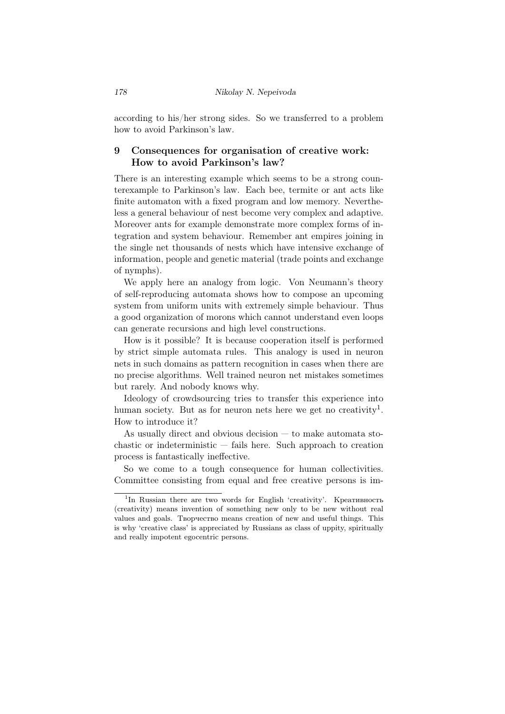according to his/her strong sides. So we transferred to a problem how to avoid Parkinson's law.

# 9 Consequences for organisation of creative work: How to avoid Parkinson's law?

There is an interesting example which seems to be a strong counterexample to Parkinson's law. Each bee, termite or ant acts like finite automaton with a fixed program and low memory. Nevertheless a general behaviour of nest become very complex and adaptive. Moreover ants for example demonstrate more complex forms of integration and system behaviour. Remember ant empires joining in the single net thousands of nests which have intensive exchange of information, people and genetic material (trade points and exchange of nymphs).

We apply here an analogy from logic. Von Neumann's theory of self-reproducing automata shows how to compose an upcoming system from uniform units with extremely simple behaviour. Thus a good organization of morons which cannot understand even loops can generate recursions and high level constructions.

How is it possible? It is because cooperation itself is performed by strict simple automata rules. This analogy is used in neuron nets in such domains as pattern recognition in cases when there are no precise algorithms. Well trained neuron net mistakes sometimes but rarely. And nobody knows why.

Ideology of crowdsourcing tries to transfer this experience into human society. But as for neuron nets here we get no creativity<sup>1</sup>. How to introduce it?

As usually direct and obvious decision — to make automata stochastic or indeterministic — fails here. Such approach to creation process is fantastically ineffective.

So we come to a tough consequence for human collectivities. Committee consisting from equal and free creative persons is im-

<sup>&</sup>lt;sup>1</sup>In Russian there are two words for English 'creativity'. Креативность (creativity) means invention of something new only to be new without real values and goals. Творчество means creation of new and useful things. This is why 'creative class' is appreciated by Russians as class of uppity, spiritually and really impotent egocentric persons.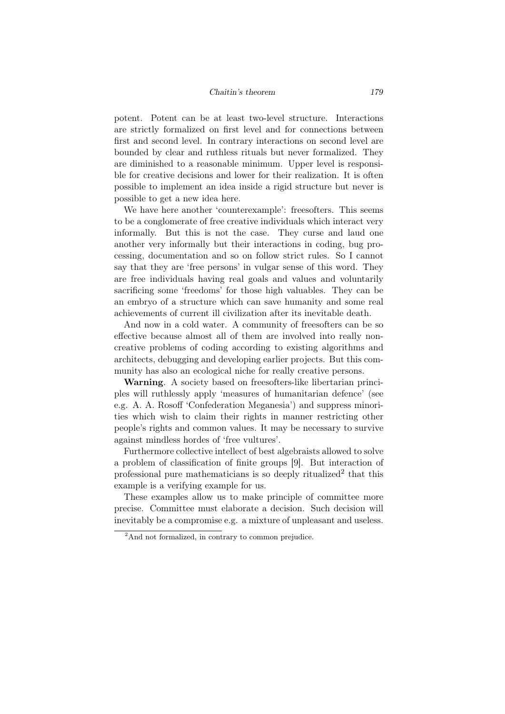#### *Chaitin's theorem 179*

potent. Potent can be at least two-level structure. Interactions are strictly formalized on first level and for connections between first and second level. In contrary interactions on second level are bounded by clear and ruthless rituals but never formalized. They are diminished to a reasonable minimum. Upper level is responsible for creative decisions and lower for their realization. It is often possible to implement an idea inside a rigid structure but never is possible to get a new idea here.

We have here another 'counterexample': freesofters. This seems to be a conglomerate of free creative individuals which interact very informally. But this is not the case. They curse and laud one another very informally but their interactions in coding, bug processing, documentation and so on follow strict rules. So I cannot say that they are 'free persons' in vulgar sense of this word. They are free individuals having real goals and values and voluntarily sacrificing some 'freedoms' for those high valuables. They can be an embryo of a structure which can save humanity and some real achievements of current ill civilization after its inevitable death.

And now in a cold water. A community of freesofters can be so effective because almost all of them are involved into really noncreative problems of coding according to existing algorithms and architects, debugging and developing earlier projects. But this community has also an ecological niche for really creative persons.

Warning. A society based on freesofters-like libertarian principles will ruthlessly apply 'measures of humanitarian defence' (see e.g. A. A. Rosoff 'Confederation Meganesia') and suppress minorities which wish to claim their rights in manner restricting other people's rights and common values. It may be necessary to survive against mindless hordes of 'free vultures'.

Furthermore collective intellect of best algebraists allowed to solve a problem of classification of finite groups [9]. But interaction of professional pure mathematicians is so deeply ritualized<sup>2</sup> that this example is a verifying example for us.

These examples allow us to make principle of committee more precise. Committee must elaborate a decision. Such decision will inevitably be a compromise e.g. a mixture of unpleasant and useless.

<sup>&</sup>lt;sup>2</sup>And not formalized, in contrary to common prejudice.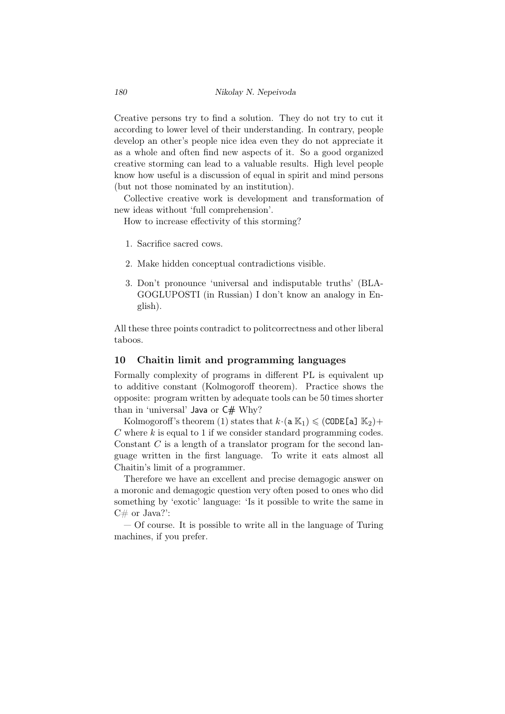Creative persons try to find a solution. They do not try to cut it according to lower level of their understanding. In contrary, people develop an other's people nice idea even they do not appreciate it as a whole and often find new aspects of it. So a good organized creative storming can lead to a valuable results. High level people know how useful is a discussion of equal in spirit and mind persons (but not those nominated by an institution).

Collective creative work is development and transformation of new ideas without 'full comprehension'.

How to increase effectivity of this storming?

- 1. Sacrifice sacred cows.
- 2. Make hidden conceptual contradictions visible.
- 3. Don't pronounce 'universal and indisputable truths' (BLA-GOGLUPOSTI (in Russian) I don't know an analogy in English).

All these three points contradict to politcorrectness and other liberal taboos.

### 10 Chaitin limit and programming languages

Formally complexity of programs in different PL is equivalent up to additive constant (Kolmogoroff theorem). Practice shows the opposite: program written by adequate tools can be 50 times shorter than in 'universal' Java or C# Why?

Kolmogoroff's theorem (1) states that  $k \cdot (\mathbf{a} \mathbb{K}_1) \leq (\mathtt{CODE}[a] \mathbb{K}_2) +$ *C* where *k* is equal to 1 if we consider standard programming codes. Constant *C* is a length of a translator program for the second language written in the first language. To write it eats almost all Chaitin's limit of a programmer.

Therefore we have an excellent and precise demagogic answer on a moronic and demagogic question very often posed to ones who did something by 'exotic' language: 'Is it possible to write the same in  $C#$  or Java?':

— Of course. It is possible to write all in the language of Turing machines, if you prefer.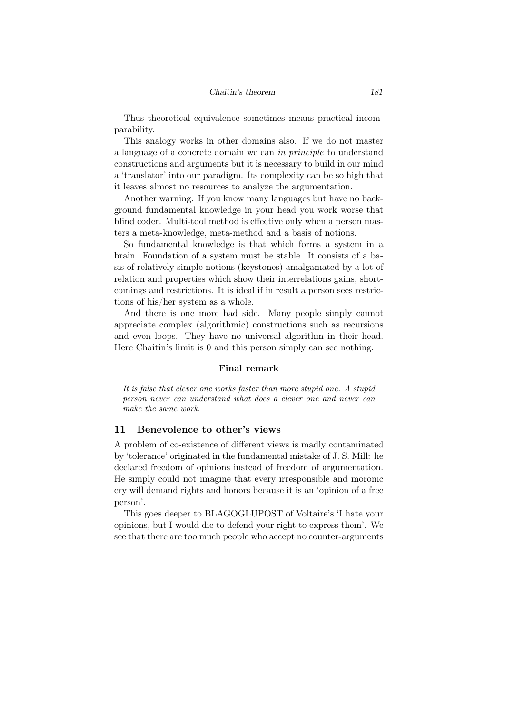Thus theoretical equivalence sometimes means practical incomparability.

This analogy works in other domains also. If we do not master a language of a concrete domain we can *in principle* to understand constructions and arguments but it is necessary to build in our mind a 'translator' into our paradigm. Its complexity can be so high that it leaves almost no resources to analyze the argumentation.

Another warning. If you know many languages but have no background fundamental knowledge in your head you work worse that blind coder. Multi-tool method is effective only when a person masters a meta-knowledge, meta-method and a basis of notions.

So fundamental knowledge is that which forms a system in a brain. Foundation of a system must be stable. It consists of a basis of relatively simple notions (keystones) amalgamated by a lot of relation and properties which show their interrelations gains, shortcomings and restrictions. It is ideal if in result a person sees restrictions of his/her system as a whole.

And there is one more bad side. Many people simply cannot appreciate complex (algorithmic) constructions such as recursions and even loops. They have no universal algorithm in their head. Here Chaitin's limit is 0 and this person simply can see nothing.

#### Final remark

*It is false that clever one works faster than more stupid one. A stupid person never can understand what does a clever one and never can make the same work.*

### 11 Benevolence to other's views

A problem of co-existence of different views is madly contaminated by 'tolerance' originated in the fundamental mistake of J. S. Mill: he declared freedom of opinions instead of freedom of argumentation. He simply could not imagine that every irresponsible and moronic cry will demand rights and honors because it is an 'opinion of a free person'.

This goes deeper to BLAGOGLUPOST of Voltaire's 'I hate your opinions, but I would die to defend your right to express them'. We see that there are too much people who accept no counter-arguments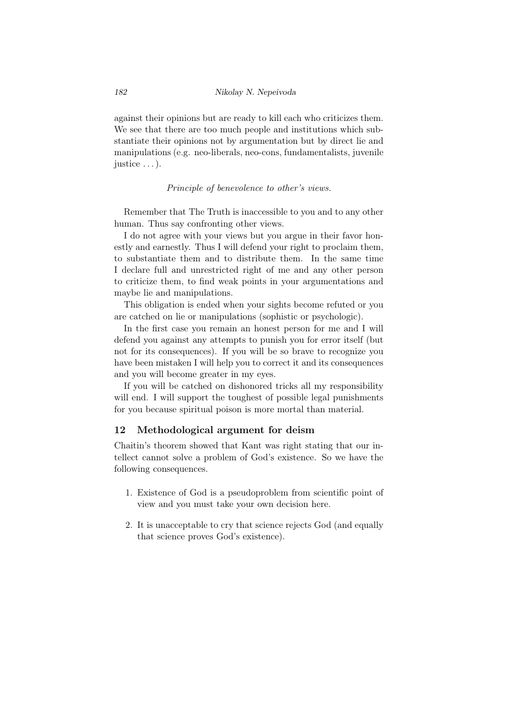against their opinions but are ready to kill each who criticizes them. We see that there are too much people and institutions which substantiate their opinions not by argumentation but by direct lie and manipulations (e.g. neo-liberals, neo-cons, fundamentalists, juvenile justice . . . ).

#### *Principle of benevolence to other's views.*

Remember that The Truth is inaccessible to you and to any other human. Thus say confronting other views.

I do not agree with your views but you argue in their favor honestly and earnestly. Thus I will defend your right to proclaim them, to substantiate them and to distribute them. In the same time I declare full and unrestricted right of me and any other person to criticize them, to find weak points in your argumentations and maybe lie and manipulations.

This obligation is ended when your sights become refuted or you are catched on lie or manipulations (sophistic or psychologic).

In the first case you remain an honest person for me and I will defend you against any attempts to punish you for error itself (but not for its consequences). If you will be so brave to recognize you have been mistaken I will help you to correct it and its consequences and you will become greater in my eyes.

If you will be catched on dishonored tricks all my responsibility will end. I will support the toughest of possible legal punishments for you because spiritual poison is more mortal than material.

### 12 Methodological argument for deism

Chaitin's theorem showed that Kant was right stating that our intellect cannot solve a problem of God's existence. So we have the following consequences.

- 1. Existence of God is a pseudoproblem from scientific point of view and you must take your own decision here.
- 2. It is unacceptable to cry that science rejects God (and equally that science proves God's existence).